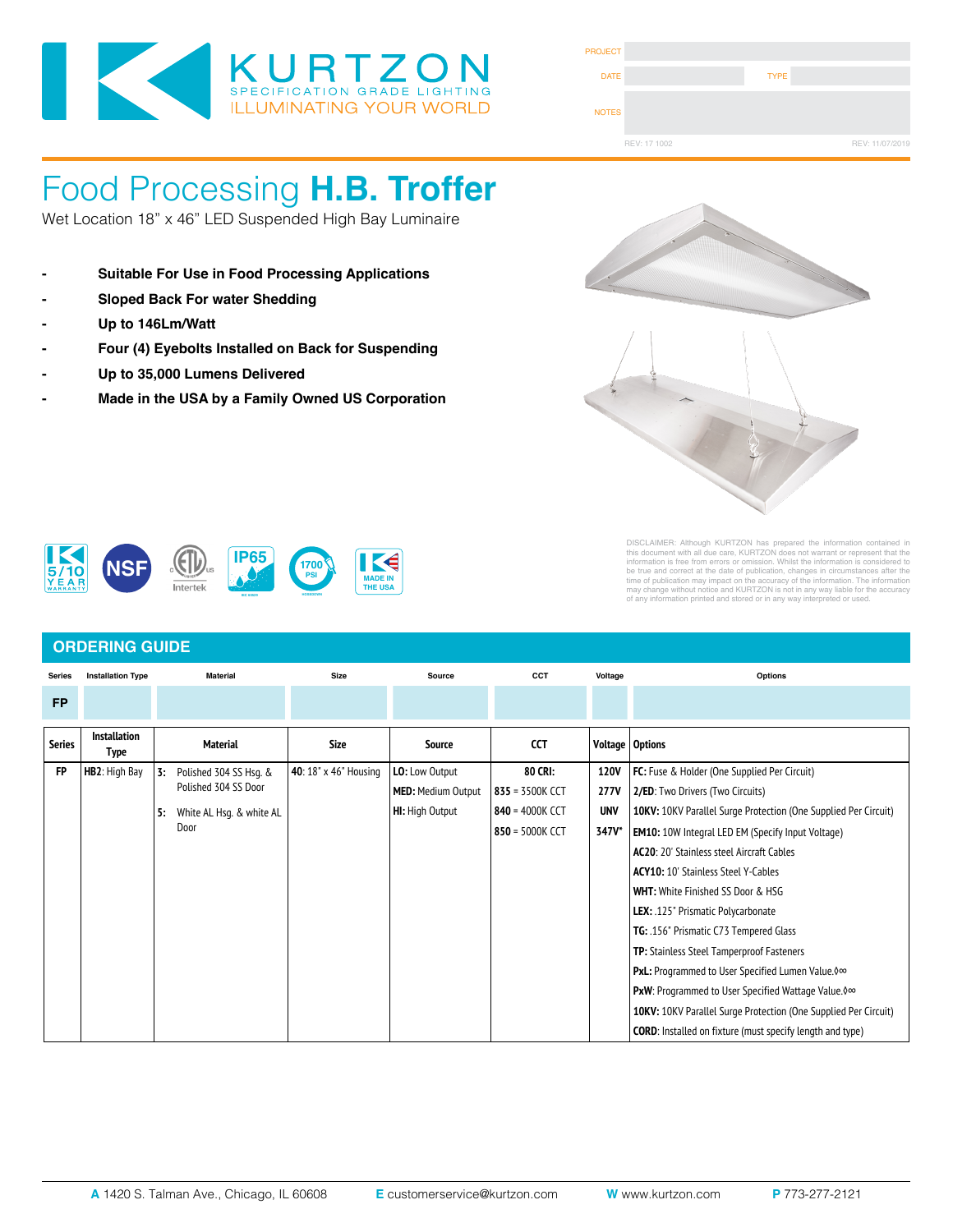

| <b>PROJECT</b> |              |             |                 |
|----------------|--------------|-------------|-----------------|
| <b>DATE</b>    |              | <b>TYPE</b> |                 |
| <b>NOTES</b>   |              |             |                 |
|                | REV: 17 1002 |             | REV: 11/07/2019 |

## Food Processing **H.B. Troffer** LOUU LIUCCOSINY **II.D. HUILC**

Wet Location 18" x 46" LED Suspended High Bay Luminaire **SPECIFICATIONS**

- **- Suitable For Use in Food Processing Applications DOOR FRAME**: One piece door frame with welded corners overlaps the fixture allowing the NSF approved microcellular gasket to seal to the mounting surface. Door frame is hinged by aircraft cables and is supplied with captive steel flux head screews to allow easy  $\mathcal{A}$  and  $\mathcal{A}$
- **Gasket Sheed Back For water Shedding corners making a one-piece oil and solvent resistant gasket with vulcanized co**
- 
- Four (4) Eyebolts Installed on Back for Suspending **DRIVERS**: Standard Universal Voltage Class 2 drivers are 0-10v Dimmable to 1% for most LED configurations, and r<br>The configuration of the come with at least 2.5Kv surge protection, have less than 10% THD at maximum in 10%
- Up to 35,000 Lumens Delivered  $\overline{\phantom{a}}$
- **Made in the USA by a Family Owned US Corporation REFLECTOR**: Die formed metal with high reflectance white polyester powder coat finish. Typical reflectivity 92%. **INSTALL RECESSED**: One fixture suitable for Grid and Flanged installation. Accommodates 1" and 1.5" T-Bar Grid (Consult factory for 2" T-Bar Grid compatibility). Four adjustable toggle arms with holes for



DISCLAIMER: Although KURTZON has prepared the information contained in<br>this document with all due care, KURTZON does not warrant or represent that the<br>information is free from errors or omission. Whilst the information is



### **ORDERING GUIDE**

| <b>Series</b> | <b>Installation Type</b>           |                                                      | <b>Material</b>          | <b>Size</b>    | Source                    | CCT               | Voltage                                             | Options                                                          |
|---------------|------------------------------------|------------------------------------------------------|--------------------------|----------------|---------------------------|-------------------|-----------------------------------------------------|------------------------------------------------------------------|
| <b>FP</b>     |                                    |                                                      |                          |                |                           |                   |                                                     |                                                                  |
| <b>Series</b> | <b>Installation</b><br><b>Type</b> |                                                      | <b>Material</b>          | Size           | <b>Source</b>             | <b>CCT</b>        |                                                     | Voltage   Options                                                |
| <b>FP</b>     | HB2: High Bay                      | 3:<br>Polished 304 SS Hsq. &<br>Polished 304 SS Door | 40: 18" x 46" Housing    | LO: Low Output | 80 CRI:                   | 120V              | <b>FC:</b> Fuse & Holder (One Supplied Per Circuit) |                                                                  |
|               |                                    |                                                      |                          |                | <b>MED: Medium Output</b> | 835 = 3500K CCT   | 277V                                                | 2/ED: Two Drivers (Two Circuits)                                 |
|               |                                    | 5:                                                   | White AL Hsg. & white AL |                | <b>HI:</b> High Output    | 840 = 4000K CCT   | <b>UNV</b>                                          | 10KV: 10KV Parallel Surge Protection (One Supplied Per Circuit)  |
|               |                                    |                                                      | Door                     |                |                           | $850 = 5000K$ CCT | 347V*                                               | <b>EM10:</b> 10W Integral LED EM (Specify Input Voltage)         |
|               |                                    |                                                      |                          |                |                           |                   |                                                     | <b>AC20:</b> 20' Stainless steel Aircraft Cables                 |
|               |                                    |                                                      |                          |                |                           |                   |                                                     | <b>ACY10:</b> 10' Stainless Steel Y-Cables                       |
|               |                                    |                                                      |                          |                |                           |                   |                                                     | <b>WHT:</b> White Finished SS Door & HSG                         |
|               |                                    |                                                      |                          |                |                           |                   |                                                     | LEX: .125" Prismatic Polycarbonate                               |
|               |                                    |                                                      |                          |                |                           |                   |                                                     | TG: .156" Prismatic C73 Tempered Glass                           |
|               |                                    |                                                      |                          |                |                           |                   |                                                     | TP: Stainless Steel Tamperproof Fasteners                        |
|               |                                    |                                                      |                          |                |                           |                   |                                                     | <b>PxL:</b> Programmed to User Specified Lumen Value. 0∞         |
|               |                                    |                                                      |                          |                |                           |                   |                                                     | PxW: Programmed to User Specified Wattage Value. 0∞              |
|               |                                    |                                                      |                          |                |                           |                   |                                                     | 10KV: 10KV Parallel Surge Protection (One Supplied Per Circuit)  |
|               |                                    |                                                      |                          |                |                           |                   |                                                     | <b>CORD:</b> Installed on fixture (must specify length and type) |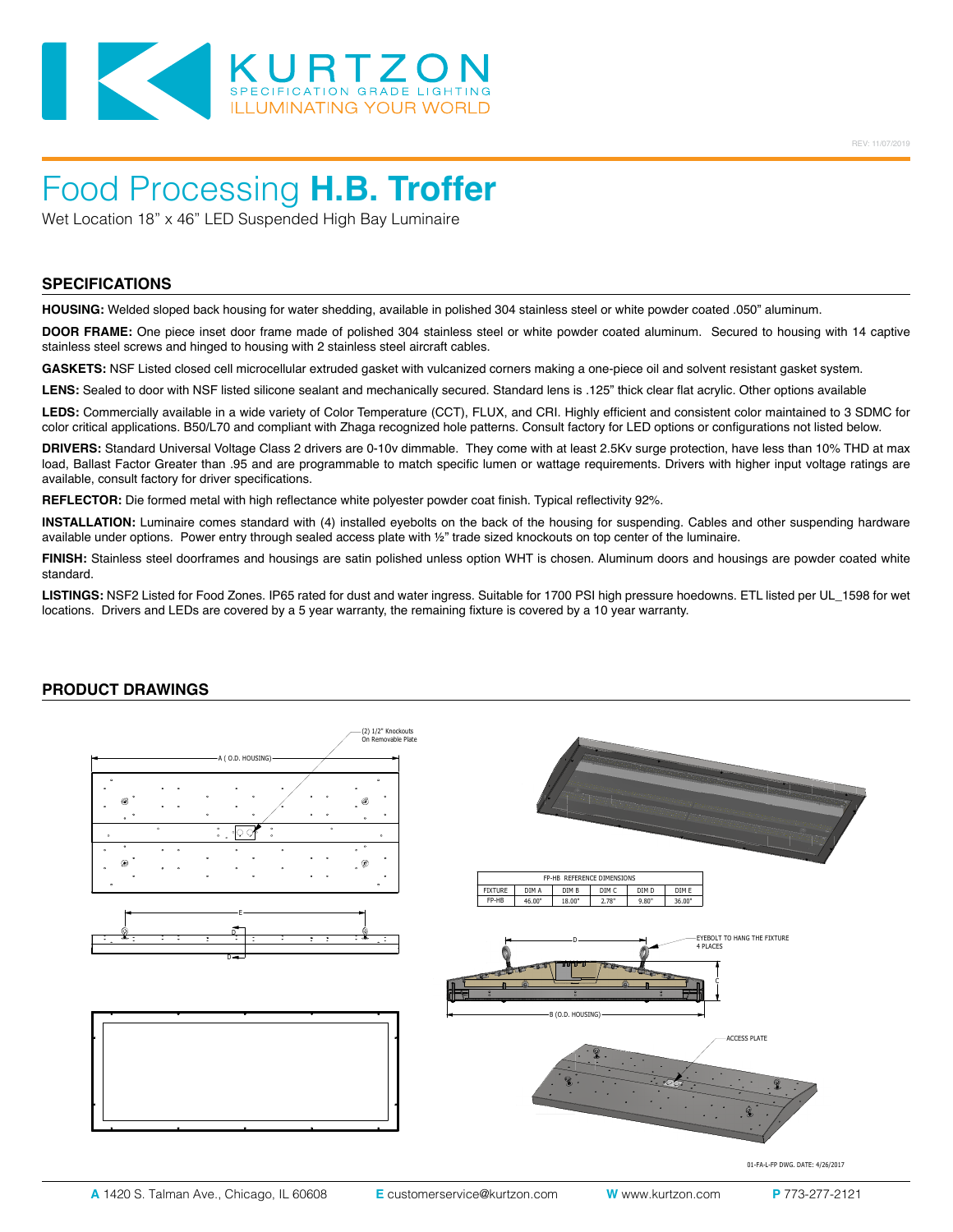

## Food Processing **H.B. Troffer**

Wet Location 18" x 46" LED Suspended High Bay Luminaire

#### **SPECIFICATIONS**

**HOUSING:** Welded sloped back housing for water shedding, available in polished 304 stainless steel or white powder coated .050" aluminum.

**DOOR FRAME:** One piece inset door frame made of polished 304 stainless steel or white powder coated aluminum. Secured to housing with 14 captive stainless steel screws and hinged to housing with 2 stainless steel aircraft cables.

**GASKETS:** NSF Listed closed cell microcellular extruded gasket with vulcanized corners making a one-piece oil and solvent resistant gasket system.

LENS: Sealed to door with NSF listed silicone sealant and mechanically secured. Standard lens is .125" thick clear flat acrylic. Other options available

**LEDS:** Commercially available in a wide variety of Color Temperature (CCT), FLUX, and CRI. Highly efficient and consistent color maintained to 3 SDMC for color critical applications. B50/L70 and compliant with Zhaga recognized hole patterns. Consult factory for LED options or configurations not listed below.

**DRIVERS:** Standard Universal Voltage Class 2 drivers are 0-10v dimmable. They come with at least 2.5Kv surge protection, have less than 10% THD at max load, Ballast Factor Greater than .95 and are programmable to match specific lumen or wattage requirements. Drivers with higher input voltage ratings are available, consult factory for driver specifications.

**REFLECTOR:** Die formed metal with high reflectance white polyester powder coat finish. Typical reflectivity 92%.

**INSTALLATION:** Luminaire comes standard with (4) installed eyebolts on the back of the housing for suspending. Cables and other suspending hardware available under options. Power entry through sealed access plate with ½" trade sized knockouts on top center of the luminaire.

**FINISH:** Stainless steel doorframes and housings are satin polished unless option WHT is chosen. Aluminum doors and housings are powder coated white standard.

LISTINGS: NSF2 Listed for Food Zones. IP65 rated for dust and water ingress. Suitable for 1700 PSI high pressure hoedowns. ETL listed per UL\_1598 for wet locations. Drivers and LEDs are covered by a 5 year warranty, the remaining fixture is covered by a 10 year warranty.

#### **PRODUCT DRAWINGS**